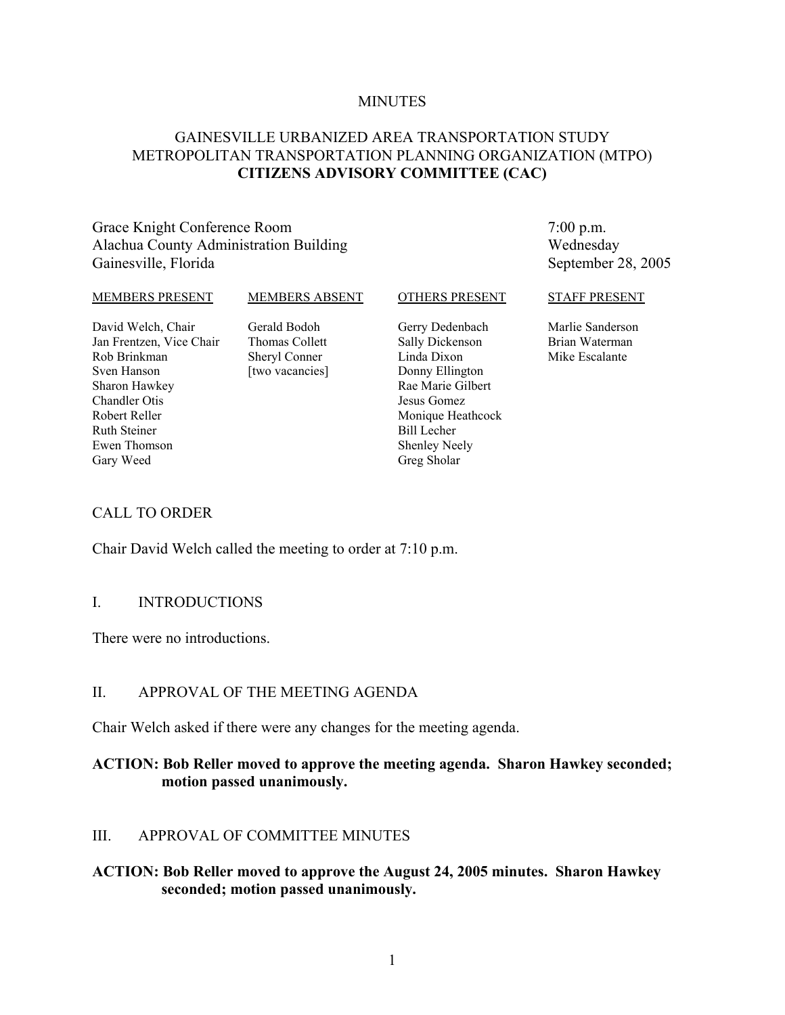#### **MINUTES**

## GAINESVILLE URBANIZED AREA TRANSPORTATION STUDY METROPOLITAN TRANSPORTATION PLANNING ORGANIZATION (MTPO) **CITIZENS ADVISORY COMMITTEE (CAC)**

## Grace Knight Conference Room Alachua County Administration Building Gainesville, Florida

7:00 p.m. Wednesday September 28, 2005

#### MEMBERS PRESENT

#### MEMBERS ABSENT

OTHERS PRESENT

David Welch, Chair Jan Frentzen, Vice Chair Rob Brinkman Sven Hanson Sharon Hawkey Chandler Otis Robert Reller Ruth Steiner Ewen Thomson Gary Weed

Gerald Bodoh Thomas Collett Sheryl Conner [two vacancies] Gerry Dedenbach Sally Dickenson Linda Dixon Donny Ellington Rae Marie Gilbert Jesus Gomez Monique Heathcock Bill Lecher Shenley Neely Greg Sholar

#### STAFF PRESENT

Marlie Sanderson Brian Waterman Mike Escalante

### CALL TO ORDER

Chair David Welch called the meeting to order at 7:10 p.m.

### I. INTRODUCTIONS

There were no introductions.

## II. APPROVAL OF THE MEETING AGENDA

Chair Welch asked if there were any changes for the meeting agenda.

## **ACTION: Bob Reller moved to approve the meeting agenda. Sharon Hawkey seconded; motion passed unanimously.**

## III. APPROVAL OF COMMITTEE MINUTES

## **ACTION: Bob Reller moved to approve the August 24, 2005 minutes. Sharon Hawkey seconded; motion passed unanimously.**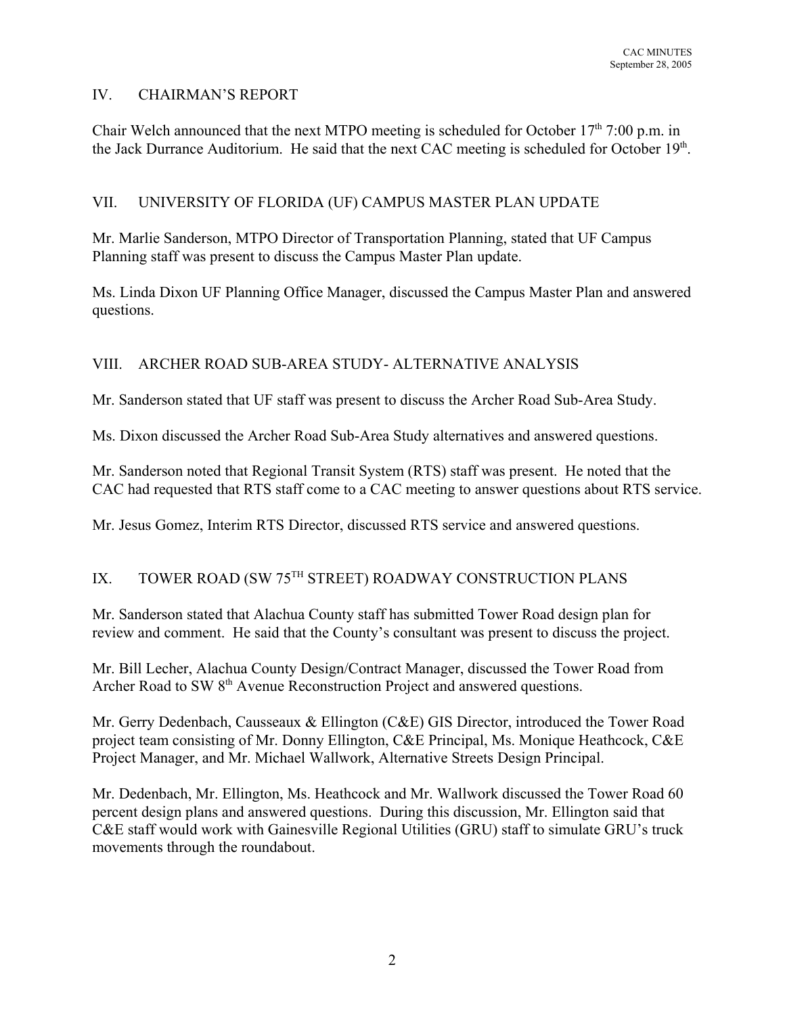# IV. CHAIRMAN'S REPORT

Chair Welch announced that the next MTPO meeting is scheduled for October  $17<sup>th</sup>$  7:00 p.m. in the Jack Durrance Auditorium. He said that the next CAC meeting is scheduled for October 19th.

# VII. UNIVERSITY OF FLORIDA (UF) CAMPUS MASTER PLAN UPDATE

Mr. Marlie Sanderson, MTPO Director of Transportation Planning, stated that UF Campus Planning staff was present to discuss the Campus Master Plan update.

Ms. Linda Dixon UF Planning Office Manager, discussed the Campus Master Plan and answered questions.

# VIII. ARCHER ROAD SUB-AREA STUDY- ALTERNATIVE ANALYSIS

Mr. Sanderson stated that UF staff was present to discuss the Archer Road Sub-Area Study.

Ms. Dixon discussed the Archer Road Sub-Area Study alternatives and answered questions.

Mr. Sanderson noted that Regional Transit System (RTS) staff was present. He noted that the CAC had requested that RTS staff come to a CAC meeting to answer questions about RTS service.

Mr. Jesus Gomez, Interim RTS Director, discussed RTS service and answered questions.

# IX. TOWER ROAD (SW 75TH STREET) ROADWAY CONSTRUCTION PLANS

Mr. Sanderson stated that Alachua County staff has submitted Tower Road design plan for review and comment. He said that the County's consultant was present to discuss the project.

Mr. Bill Lecher, Alachua County Design/Contract Manager, discussed the Tower Road from Archer Road to SW 8<sup>th</sup> Avenue Reconstruction Project and answered questions.

Mr. Gerry Dedenbach, Causseaux & Ellington (C&E) GIS Director, introduced the Tower Road project team consisting of Mr. Donny Ellington, C&E Principal, Ms. Monique Heathcock, C&E Project Manager, and Mr. Michael Wallwork, Alternative Streets Design Principal.

Mr. Dedenbach, Mr. Ellington, Ms. Heathcock and Mr. Wallwork discussed the Tower Road 60 percent design plans and answered questions. During this discussion, Mr. Ellington said that C&E staff would work with Gainesville Regional Utilities (GRU) staff to simulate GRU's truck movements through the roundabout.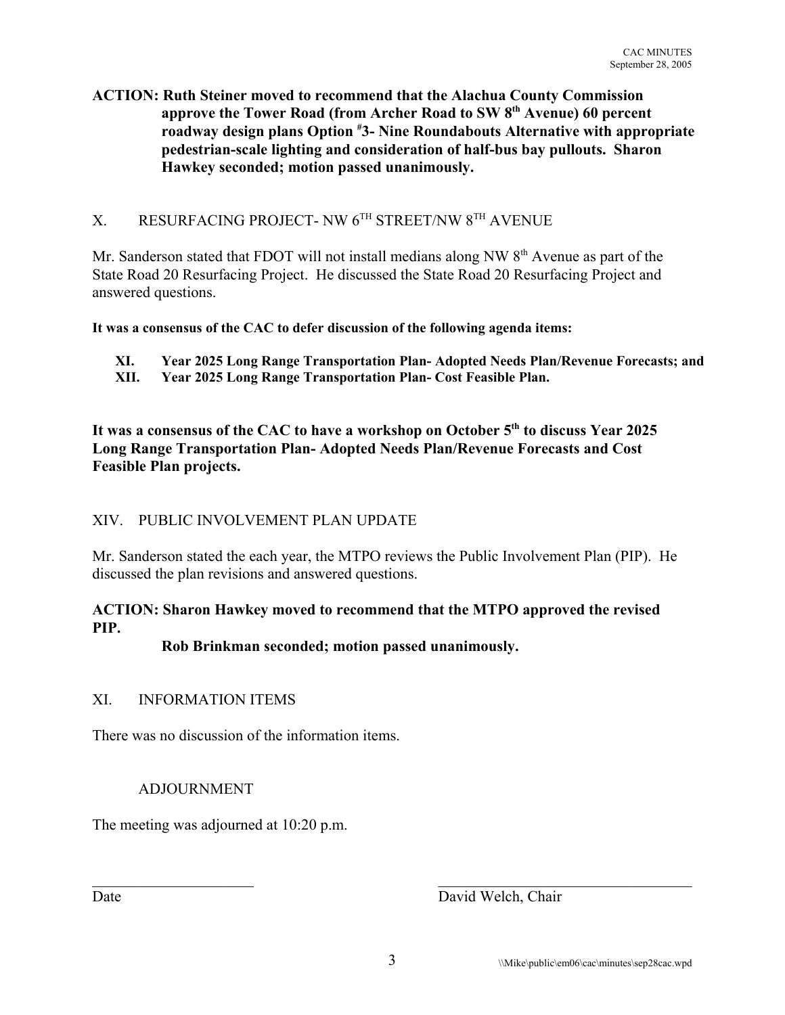# **ACTION: Ruth Steiner moved to recommend that the Alachua County Commission approve the Tower Road (from Archer Road to SW 8th Avenue) 60 percent roadway design plans Option # 3- Nine Roundabouts Alternative with appropriate pedestrian-scale lighting and consideration of half-bus bay pullouts. Sharon Hawkey seconded; motion passed unanimously.**

# X. RESURFACING PROJECT- NW 6TH STREET/NW 8TH AVENUE

Mr. Sanderson stated that FDOT will not install medians along NW  $8<sup>th</sup>$  Avenue as part of the State Road 20 Resurfacing Project. He discussed the State Road 20 Resurfacing Project and answered questions.

**It was a consensus of the CAC to defer discussion of the following agenda items:**

- **XI. Year 2025 Long Range Transportation Plan- Adopted Needs Plan/Revenue Forecasts; and**
- **XII. Year 2025 Long Range Transportation Plan- Cost Feasible Plan.**

It was a consensus of the CAC to have a workshop on October 5<sup>th</sup> to discuss Year 2025 **Long Range Transportation Plan- Adopted Needs Plan/Revenue Forecasts and Cost Feasible Plan projects.**

# XIV. PUBLIC INVOLVEMENT PLAN UPDATE

Mr. Sanderson stated the each year, the MTPO reviews the Public Involvement Plan (PIP). He discussed the plan revisions and answered questions.

# **ACTION: Sharon Hawkey moved to recommend that the MTPO approved the revised PIP.**

# **Rob Brinkman seconded; motion passed unanimously.**

## XI. INFORMATION ITEMS

There was no discussion of the information items.

## ADJOURNMENT

The meeting was adjourned at 10:20 p.m.

Date David Welch, Chair

 $\mathcal{L}_\text{max}$  , and the contribution of the contribution of the contribution of the contribution of the contribution of the contribution of the contribution of the contribution of the contribution of the contribution of t